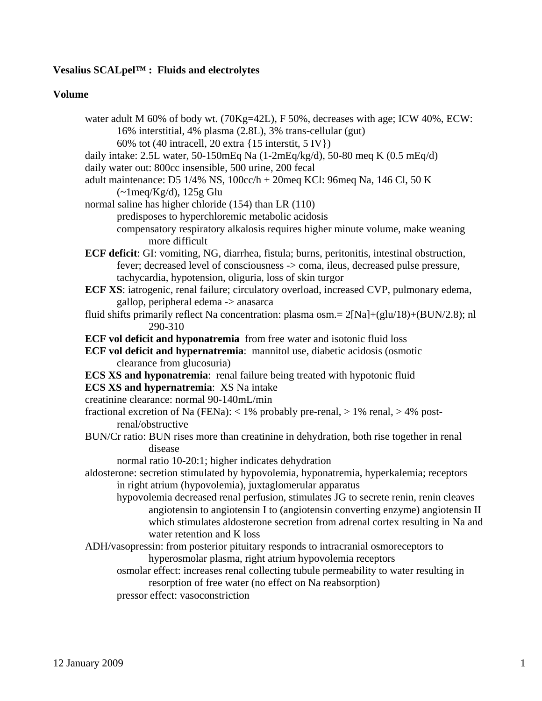# **Vesalius SCALpel™ : Fluids and electrolytes**

### **Volume**

water adult M 60% of body wt. (70Kg=42L), F 50%, decreases with age; ICW 40%, ECW: 16% interstitial, 4% plasma (2.8L), 3% trans-cellular (gut) 60% tot (40 intracell, 20 extra {15 interstit, 5 IV}) daily intake: 2.5L water, 50-150mEq Na (1-2mEq/kg/d), 50-80 meq K (0.5 mEq/d) daily water out: 800cc insensible, 500 urine, 200 fecal adult maintenance: D5 1/4% NS, 100cc/h + 20meq KCl: 96meq Na, 146 Cl, 50 K (~1meq/Kg/d), 125g Glu normal saline has higher chloride (154) than LR (110) predisposes to hyperchloremic metabolic acidosis compensatory respiratory alkalosis requires higher minute volume, make weaning more difficult **ECF deficit**: GI: vomiting, NG, diarrhea, fistula; burns, peritonitis, intestinal obstruction, fever; decreased level of consciousness -> coma, ileus, decreased pulse pressure, tachycardia, hypotension, oliguria, loss of skin turgor **ECF XS**: iatrogenic, renal failure; circulatory overload, increased CVP, pulmonary edema, gallop, peripheral edema -> anasarca fluid shifts primarily reflect Na concentration: plasma osm.= 2[Na]+(glu/18)+(BUN/2.8); nl 290-310 **ECF vol deficit and hyponatremia** from free water and isotonic fluid loss **ECF vol deficit and hypernatremia**: mannitol use, diabetic acidosis (osmotic clearance from glucosuria) **ECS XS and hyponatremia**: renal failure being treated with hypotonic fluid **ECS XS and hypernatremia**: XS Na intake creatinine clearance: normal 90-140mL/min fractional excretion of Na (FENa):  $<$  1% probably pre-renal,  $>$  1% renal,  $>$  4% post renal/obstructive BUN/Cr ratio: BUN rises more than creatinine in dehydration, both rise together in renal disease normal ratio 10-20:1; higher indicates dehydration aldosterone: secretion stimulated by hypovolemia, hyponatremia, hyperkalemia; receptors in right atrium (hypovolemia), juxtaglomerular apparatus hypovolemia decreased renal perfusion, stimulates JG to secrete renin, renin cleaves angiotensin to angiotensin I to (angiotensin converting enzyme) angiotensin II which stimulates aldosterone secretion from adrenal cortex resulting in Na and water retention and K loss ADH/vasopressin: from posterior pituitary responds to intracranial osmoreceptors to hyperosmolar plasma, right atrium hypovolemia receptors osmolar effect: increases renal collecting tubule permeability to water resulting in resorption of free water (no effect on Na reabsorption) pressor effect: vasoconstriction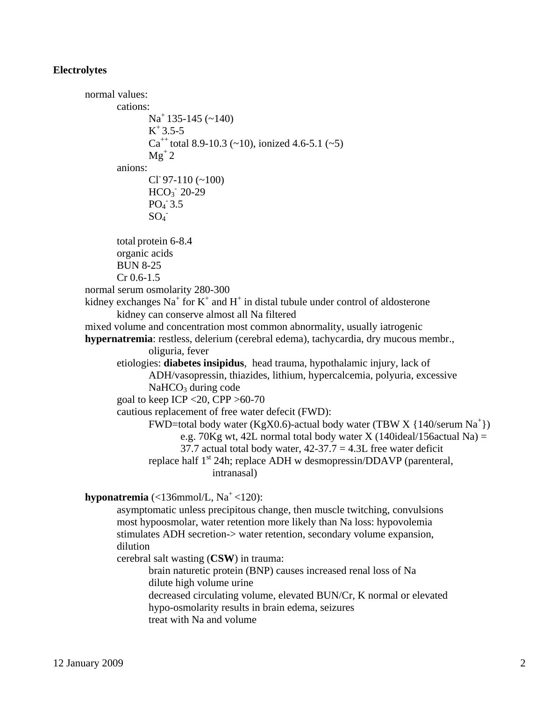# **Electrolytes**

```
 normal values: 
                 cations: 
                        Na<sup>+</sup> 135-145 (~140)<br>
K<sup>+</sup> 3.5-5<br>
Ca<sup>++</sup> total 8.9-10.3 (~10), ionized 4.6-5.1 (~5)<br>
Mg<sup>+</sup> 2
                 anions: 
                        CI<sup>-97-110 (~100)</sup>
                        HCO<sub>3</sub><sup>-</sup> 20-29
                        PO<sub>4</sub> 3.5
                        SO_4^- total protein 6-8.4 organic acids 
                 BUN 8-25 
                 Cr 0.6-1.5 
         normal serum osmolarity 280-300 
kidney exchanges Na<sup>+</sup> for K<sup>+</sup> and H<sup>+</sup> in distal tubule under control of aldosterone
                 kidney can conserve almost all Na filtered 
         mixed volume and concentration most common abnormality, usually iatrogenic 
        hypernatremia: restless, delerium (cerebral edema), tachycardia, dry mucous membr., 
                         oliguria, fever 
                 etiologies: diabetes insipidus, head trauma, hypothalamic injury, lack of 
                          ADH/vasopressin, thiazides, lithium, hypercalcemia, polyuria, excessive 
                        NaHCO<sub>3</sub> during code
                goal to keep ICP < 20, CPP >60-70 cautious replacement of free water defecit (FWD): 
FWD=total body water (KgX0.6)-actual body water (TBW X {140/serum \text{Na}^+})
                                 e.g. 70Kg wt, 42L normal total body water X (140ideal/156 actual Na) =
                                 37.7 actual total body water, 42-37.7 = 4.3L free water deficit
                        replace half 1<sup>st</sup> 24h; replace ADH w desmopressin/DDAVP (parenteral,
                                          intranasal) 
        hyponatremia \langle<136mmol/L, Na<sup>+</sup> <120):
                 asymptomatic unless precipitous change, then muscle twitching, convulsions 
                 most hypoosmolar, water retention more likely than Na loss: hypovolemia 
                 stimulates ADH secretion-> water retention, secondary volume expansion, 
                 dilution 
                 cerebral salt wasting (CSW) in trauma: 
                         brain naturetic protein (BNP) causes increased renal loss of Na
```
dilute high volume urine

 decreased circulating volume, elevated BUN/Cr, K normal or elevated hypo-osmolarity results in brain edema, seizures

treat with Na and volume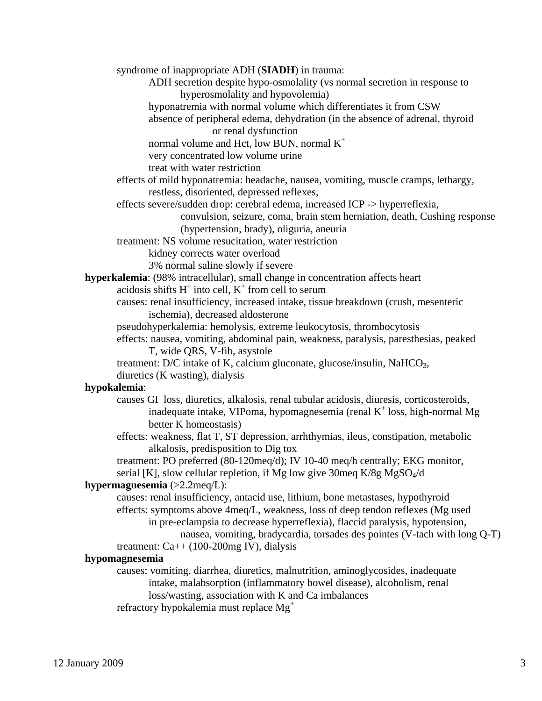syndrome of inappropriate ADH (**SIADH**) in trauma:

 ADH secretion despite hypo-osmolality (vs normal secretion in response to hyperosmolality and hypovolemia)

hyponatremia with normal volume which differentiates it from CSW

absence of peripheral edema, dehydration (in the absence of adrenal, thyroid

or renal dysfunction

normal volume and Hct, low BUN, normal  $K^+$ 

very concentrated low volume urine

treat with water restriction

 effects of mild hyponatremia: headache, nausea, vomiting, muscle cramps, lethargy, restless, disoriented, depressed reflexes,

effects severe/sudden drop: cerebral edema, increased ICP -> hyperreflexia,

 convulsion, seizure, coma, brain stem herniation, death, Cushing response (hypertension, brady), oliguria, aneuria

treatment: NS volume resucitation, water restriction

kidney corrects water overload

3% normal saline slowly if severe

**hyperkalemia**: (98% intracellular), small change in concentration affects heart

acidosis shifts  $H^+$  into cell,  $K^+$  from cell to serum

 causes: renal insufficiency, increased intake, tissue breakdown (crush, mesenteric ischemia), decreased aldosterone

pseudohyperkalemia: hemolysis, extreme leukocytosis, thrombocytosis

 effects: nausea, vomiting, abdominal pain, weakness, paralysis, paresthesias, peaked T, wide QRS, V-fib, asystole

treatment:  $D/C$  intake of K, calcium gluconate, glucose/insulin, Na $HCO<sub>3</sub>$ , diuretics (K wasting), dialysis

# **hypokalemia**:

 causes GI loss, diuretics, alkalosis, renal tubular acidosis, diuresis, corticosteroids, inadequate intake, VIPoma, hypomagnesemia (renal  $K^+$  loss, high-normal Mg better K homeostasis)

> effects: weakness, flat T, ST depression, arrhthymias, ileus, constipation, metabolic alkalosis, predisposition to Dig tox

treatment: PO preferred (80-120meq/d); IV 10-40 meq/h centrally; EKG monitor,

```
serial [K], slow cellular repletion, if Mg low give 30 meq K/8g MgSO_4/d
```
# **hypermagnesemia** (>2.2meq/L):

 causes: renal insufficiency, antacid use, lithium, bone metastases, hypothyroid effects: symptoms above 4meq/L, weakness, loss of deep tendon reflexes (Mg used in pre-eclampsia to decrease hyperreflexia), flaccid paralysis, hypotension, nausea, vomiting, bradycardia, torsades des pointes (V-tach with long Q-T) treatment:  $Ca++ (100-200mg IV)$ , dialysis

#### **hypomagnesemia**

 causes: vomiting, diarrhea, diuretics, malnutrition, aminoglycosides, inadequate intake, malabsorption (inflammatory bowel disease), alcoholism, renal loss/wasting, association with K and Ca imbalances

refractory hypokalemia must replace Mg+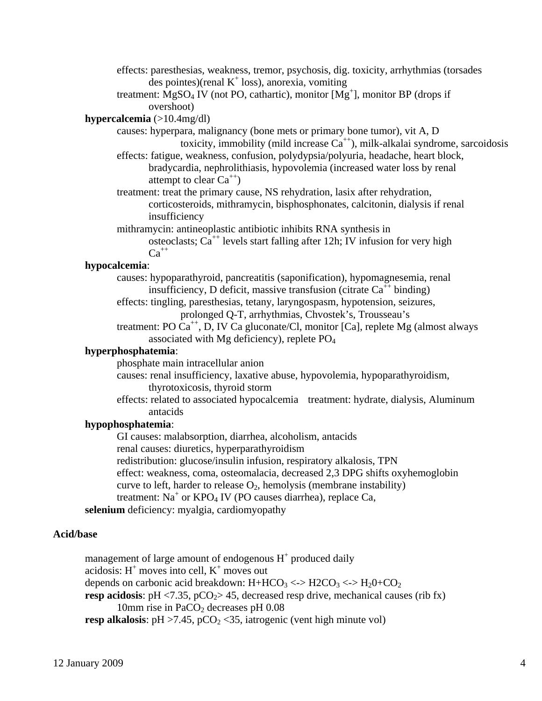effects: paresthesias, weakness, tremor, psychosis, dig. toxicity, arrhythmias (torsades  $des$  pointes)(renal K<sup>+</sup> loss), anorexia, vomiting

treatment:  $MgSO<sub>4</sub>$  IV (not PO, cathartic), monitor  $[Mg^+]$ , monitor BP (drops if overshoot)

# **hypercalcemia** (>10.4mg/dl)

 causes: hyperpara, malignancy (bone mets or primary bone tumor), vit A, D toxicity, immobility (mild increase  $Ca^{++}$ ), milk-alkalai syndrome, sarcoidosis

- effects: fatigue, weakness, confusion, polydypsia/polyuria, headache, heart block, bradycardia, nephrolithiasis, hypovolemia (increased water loss by renal attempt to clear  $Ca^{++}$ )
- treatment: treat the primary cause, NS rehydration, lasix after rehydration, corticosteroids, mithramycin, bisphosphonates, calcitonin, dialysis if renal insufficiency
- mithramycin: antineoplastic antibiotic inhibits RNA synthesis in osteoclasts;  $Ca^{++}$  levels start falling after 12h; IV infusion for very high  $Ca^{++}$

## **hypocalcemia**:

 causes: hypoparathyroid, pancreatitis (saponification), hypomagnesemia, renal insufficiency, D deficit, massive transfusion (citrate  $Ca^{++}$  binding)

 effects: tingling, paresthesias, tetany, laryngospasm, hypotension, seizures, prolonged Q-T, arrhythmias, Chvostek's, Trousseau's

treatment: PO  $Ca^{++}$ , D, IV Ca gluconate/Cl, monitor [Ca], replete Mg (almost always associated with Mg deficiency), replete  $PO<sub>4</sub>$ 

### **hyperphosphatemia**:

phosphate main intracellular anion

- causes: renal insufficiency, laxative abuse, hypovolemia, hypoparathyroidism, thyrotoxicosis, thyroid storm
- effects: related to associated hypocalcemia treatment: hydrate, dialysis, Aluminum antacids

#### **hypophosphatemia**:

 GI causes: malabsorption, diarrhea, alcoholism, antacids renal causes: diuretics, hyperparathyroidism redistribution: glucose/insulin infusion, respiratory alkalosis, TPN effect: weakness, coma, osteomalacia, decreased 2,3 DPG shifts oxyhemoglobin curve to left, harder to release  $O_2$ , hemolysis (membrane instability) treatment:  $Na<sup>+</sup>$  or  $KPO<sub>4</sub>$  IV (PO causes diarrhea), replace Ca, **selenium** deficiency: myalgia, cardiomyopathy

#### **Acid/base**

management of large amount of endogenous  $H^+$  produced daily acidosis:  $H^+$  moves into cell,  $K^+$  moves out depends on carbonic acid breakdown:  $H + HCO<sub>3</sub> \leq H + 2CO<sub>3</sub> \leq H + CO<sub>2</sub>$ **resp acidosis**:  $pH \le 7.35$ ,  $pCO<sub>2</sub> > 45$ , decreased resp drive, mechanical causes (rib fx) 10mm rise in  $PaCO<sub>2</sub>$  decreases pH 0.08 **resp alkalosis**:  $pH > 7.45$ ,  $pCO<sub>2</sub> < 35$ , iatrogenic (vent high minute vol)